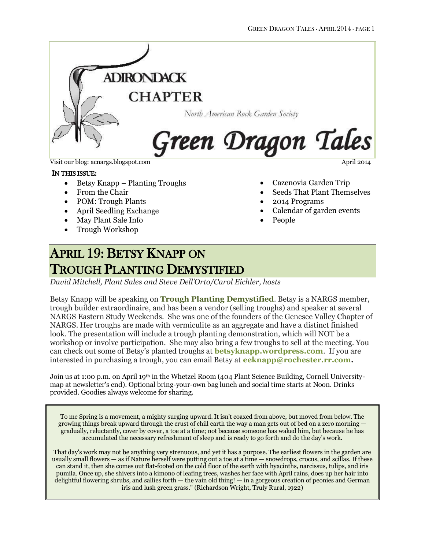

Visit our blog: acnargs.blogspot.com April 2014

#### IN THIS ISSUE:

- Betsy Knapp Planting Troughs
- From the Chair
- POM: Trough Plants
- April Seedling Exchange
- May Plant Sale Info
- Trough Workshop

- Cazenovia Garden Trip
- Seeds That Plant Themselves
- 2014 Programs
- Calendar of garden events
- People

# APRIL 19: BETSY KNAPP ON TROUGH PLANTING DEMYSTIFIED

*David Mitchell, Plant Sales and Steve Dell'Orto/Carol Eichler, hosts*

Betsy Knapp will be speaking on **Trough Planting Demystified**. Betsy is a NARGS member, trough builder extraordinaire, and has been a vendor (selling troughs) and speaker at several NARGS Eastern Study Weekends. She was one of the founders of the Genesee Valley Chapter of NARGS. Her troughs are made with vermiculite as an aggregate and have a distinct finished look. The presentation will include a trough planting demonstration, which will NOT be a workshop or involve participation. She may also bring a few troughs to sell at the meeting. You can check out some of Betsy's planted troughs at **[betsyknapp.wordpress.com](mailto:betsyknapp@wordpress.com)**. If you are interested in purchasing a trough, you can email Betsy at **[eeknapp@rochester.rr.com.](mailto:eeknapp@rochester.rr.com)**

Join us at 1:00 p.m. on April 19<sup>th</sup> in the Whetzel Room (404 Plant Science Building, Cornell Universitymap at newsletter's end). Optional bring-your-own bag lunch and social time starts at Noon. Drinks provided. Goodies always welcome for sharing.

To me Spring is a movement, a mighty surging upward. It isn't coaxed from above, but moved from below. The growing things break upward through the crust of chill earth the way a man gets out of bed on a zero morning gradually, reluctantly, cover by cover, a toe at a time; not because someone has waked him, but because he has accumulated the necessary refreshment of sleep and is ready to go forth and do the day's work.

That day's work may not be anything very strenuous, and yet it has a purpose. The earliest flowers in the garden are usually small flowers — as if Nature herself were putting out a toe at a time — snowdrops, crocus, and scillas. If these can stand it, then she comes out flat-footed on the cold floor of the earth with hyacinths, narcissus, tulips, and iris pumila. Once up, she shivers into a kimono of leafing trees, washes her face with April rains, does up her hair into delightful flowering shrubs, and sallies forth — the vain old thing! — in a gorgeous creation of peonies and German iris and lush green grass." (Richardson Wright, Truly Rural, 1922)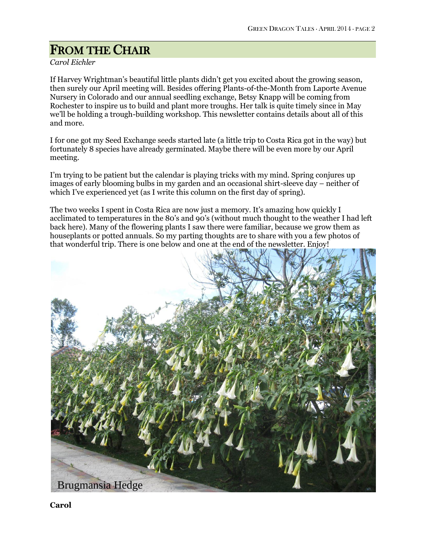# FROM THE CHAIR

## *Carol Eichler*

If Harvey Wrightman's beautiful little plants didn't get you excited about the growing season, then surely our April meeting will. Besides offering Plants-of-the-Month from Laporte Avenue Nursery in Colorado and our annual seedling exchange, Betsy Knapp will be coming from Rochester to inspire us to build and plant more troughs. Her talk is quite timely since in May we'll be holding a trough-building workshop. This newsletter contains details about all of this and more.

I for one got my Seed Exchange seeds started late (a little trip to Costa Rica got in the way) but fortunately 8 species have already germinated. Maybe there will be even more by our April meeting.

I'm trying to be patient but the calendar is playing tricks with my mind. Spring conjures up images of early blooming bulbs in my garden and an occasional shirt-sleeve day – neither of which I've experienced yet (as I write this column on the first day of spring).

The two weeks I spent in Costa Rica are now just a memory. It's amazing how quickly I acclimated to temperatures in the 80's and 90's (without much thought to the weather I had left back here). Many of the flowering plants I saw there were familiar, because we grow them as houseplants or potted annuals. So my parting thoughts are to share with you a few photos of that wonderful trip. There is one below and one at the end of the newsletter. Enjoy!



**Carol**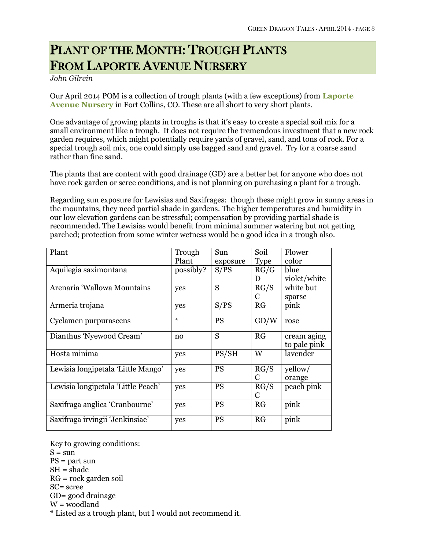# PLANT OF THE MONTH: TROUGH PLANTS FROM LAPORTE AVENUE NURSERY

#### *John Gilrein*

Our April 2014 POM is a collection of trough plants (with a few exceptions) from **[Laporte](http://www.laporteavenuenursery.com/)  [Avenue Nursery](http://www.laporteavenuenursery.com/)** in Fort Collins, CO. These are all short to very short plants.

One advantage of growing plants in troughs is that it's easy to create a special soil mix for a small environment like a trough. It does not require the tremendous investment that a new rock garden requires, which might potentially require yards of gravel, sand, and tons of rock. For a special trough soil mix, one could simply use bagged sand and gravel. Try for a coarse sand rather than fine sand.

The plants that are content with good drainage (GD) are a better bet for anyone who does not have rock garden or scree conditions, and is not planning on purchasing a plant for a trough.

Regarding sun exposure for Lewisias and Saxifrages: though these might grow in sunny areas in the mountains, they need partial shade in gardens. The higher temperatures and humidity in our low elevation gardens can be stressful; compensation by providing partial shade is recommended. The Lewisias would benefit from minimal summer watering but not getting parched; protection from some winter wetness would be a good idea in a trough also.

| Plant                              | Trough    | Sun       | Soil        | Flower       |
|------------------------------------|-----------|-----------|-------------|--------------|
|                                    | Plant     | exposure  | <b>Type</b> | color        |
| Aquilegia saximontana              | possibly? | S/PS      | RG/G        | blue         |
|                                    |           |           | D           | violet/white |
| Arenaria 'Wallowa Mountains        | yes       | S         | RG/S        | white but    |
|                                    |           |           | $\mathbf C$ | sparse       |
| Armeria trojana                    | yes       | S/PS      | RG          | pink         |
| Cyclamen purpurascens              | ⋇         | <b>PS</b> | GD/W        | rose         |
| Dianthus 'Nyewood Cream'           | no        | S         | RG          | cream aging  |
|                                    |           |           |             | to pale pink |
| Hosta minima                       | yes       | PS/SH     | W           | lavender     |
| Lewisia longipetala 'Little Mango' | yes       | <b>PS</b> | RG/S        | yellow/      |
|                                    |           |           | C           | orange       |
| Lewisia longipetala 'Little Peach' | yes       | <b>PS</b> | RG/S        | peach pink   |
|                                    |           |           | C           |              |
| Saxifraga anglica 'Cranbourne'     | yes       | <b>PS</b> | RG          | pink         |
| Saxifraga irvingii 'Jenkinsiae'    | yes       | <b>PS</b> | RG          | pink         |

Key to growing conditions:  $S = \text{sun}$ PS = part sun  $SH = shade$ RG = rock garden soil SC= scree GD= good drainage  $W =$  woodland \* Listed as a trough plant, but I would not recommend it.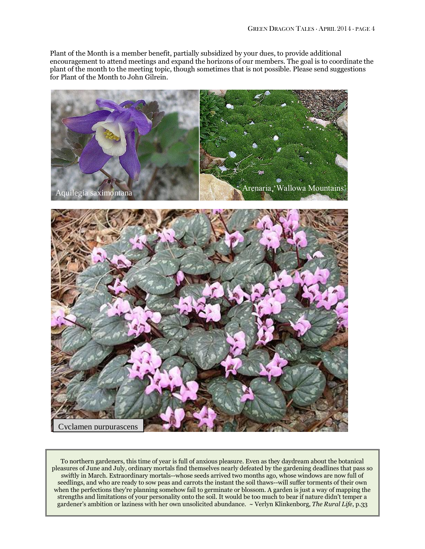Plant of the Month is a member benefit, partially subsidized by your dues, to provide additional encouragement to attend meetings and expand the horizons of our members. The goal is to coordinate the plant of the month to the meeting topic, though sometimes that is not possible. Please send suggestions for Plant of the Month to John Gilrein.



To northern gardeners, this time of year is full of anxious pleasure. Even as they daydream about the botanical pleasures of June and July, ordinary mortals find themselves nearly defeated by the gardening deadlines that pass so swiftly in March. Extraordinary mortals--whose seeds arrived two months ago, whose windows are now full of seedlings, and who are ready to sow peas and carrots the instant the soil thaws--will suffer torments of their own when the perfections they're planning somehow fail to germinate or blossom. A garden is just a way of mapping the strengths and limitations of your personality onto the soil. It would be too much to bear if nature didn't temper a gardener's ambition or laziness with her own unsolicited abundance. ~ Verlyn Klinkenborg, *The Rural Life*, p.33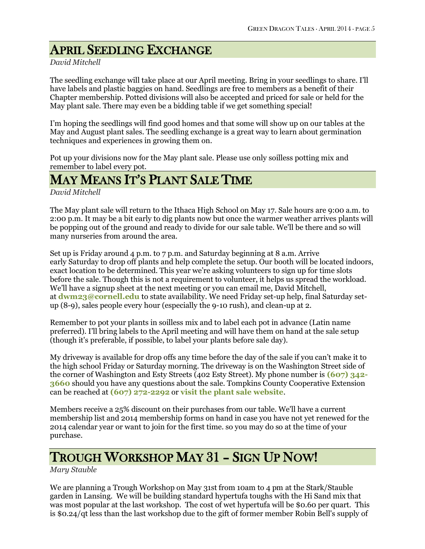# APRIL SEEDLING EXCHANGE

### *David Mitchell*

The seedling exchange will take place at our April meeting. Bring in your seedlings to share. I'll have labels and plastic baggies on hand. Seedlings are free to members as a benefit of their Chapter membership. Potted divisions will also be accepted and priced for sale or held for the May plant sale. There may even be a bidding table if we get something special!

I'm hoping the seedlings will find good homes and that some will show up on our tables at the May and August plant sales. The seedling exchange is a great way to learn about germination techniques and experiences in growing them on.

Pot up your divisions now for the May plant sale. Please use only soilless potting mix and remember to label every pot.

## MAY MEANS IT'S PLANT SALE TIME

*David Mitchell*

The May plant sale will return to the Ithaca High School on May 17. Sale hours are 9:00 a.m. to 2:00 p.m. It may be a bit early to dig plants now but once the warmer weather arrives plants will be popping out of the ground and ready to divide for our sale table. We'll be there and so will many nurseries from around the area.

Set up is Friday around 4 p.m. to 7 p.m. and Saturday beginning at 8 a.m. Arrive early Saturday to drop off plants and help complete the setup. Our booth will be located indoors, exact location to be determined. This year we're asking volunteers to sign up for time slots before the sale. Though this is not a requirement to volunteer, it helps us spread the workload. We'll have a signup sheet at the next meeting or you can email me, David Mitchell, at **[dwm23@cornell.edu](mailto:dwm23@cornell.edu)** to state availability. We need Friday set-up help, final Saturday setup (8-9), sales people every hour (especially the 9-10 rush), and clean-up at 2.

Remember to pot your plants in soilless mix and to label each pot in advance (Latin name preferred). I'll bring labels to the April meeting and will have them on hand at the sale setup (though it's preferable, if possible, to label your plants before sale day).

My driveway is available for drop offs any time before the day of the sale if you can't make it to the high school Friday or Saturday morning. The driveway is on the Washington Street side of the corner of Washington and Esty Streets (402 Esty Street). My phone number is **[\(607\) 342-](tel:%28607%29%20342-3660) [3660](tel:%28607%29%20342-3660)** should you have any questions about the sale. Tompkins County Cooperative Extension can be reached at **[\(607\) 272-2292](tel:%28607%29%20272-2292)** or **[visit the plant sale website](http://ccetompkins.org/garden/spring-plant-sale)**.

Members receive a 25% discount on their purchases from our table. We'll have a current membership list and 2014 membership forms on hand in case you have not yet renewed for the 2014 calendar year or want to join for the first time. so you may do so at the time of your purchase.

## TROUGH WORKSHOP MAY 31 – SIGN UP NOW!

*Mary Stauble*

We are planning a Trough Workshop on May 31st from 10am to 4 pm at the Stark/Stauble garden in Lansing. We will be building standard hypertufa toughs with the Hi Sand mix that was most popular at the last workshop. The cost of wet hypertufa will be \$0.60 per quart. This is \$0.24/qt less than the last workshop due to the gift of former member Robin Bell's supply of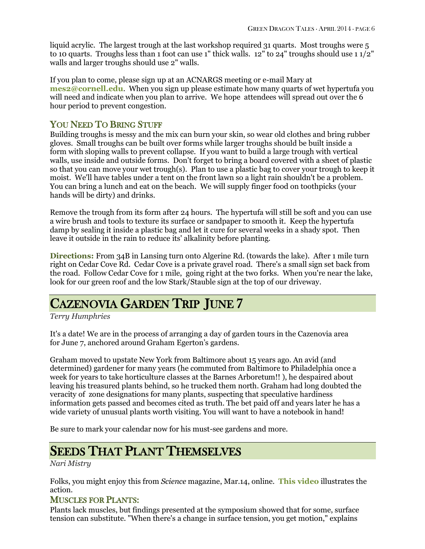liquid acrylic. The largest trough at the last workshop required 31 quarts. Most troughs were 5 to 10 quarts. Troughs less than 1 foot can use 1" thick walls. 12" to 24" troughs should use 1 1/2" walls and larger troughs should use 2" walls.

If you plan to come, please sign up at an ACNARGS meeting or e-mail Mary at **[mes2@cornell.edu](mailto:mes2@cornell.edu)**. When you sign up please estimate how many quarts of wet hypertufa you will need and indicate when you plan to arrive. We hope attendees will spread out over the 6 hour period to prevent congestion.

## YOU NEED TO BRING STUFF

Building troughs is messy and the mix can burn your skin, so wear old clothes and bring rubber gloves. Small troughs can be built over forms while larger troughs should be built inside a form with sloping walls to prevent collapse. If you want to build a large trough with vertical walls, use inside and outside forms. Don't forget to bring a board covered with a sheet of plastic so that you can move your wet trough(s). Plan to use a plastic bag to cover your trough to keep it moist. We'll have tables under a tent on the front lawn so a light rain shouldn't be a problem. You can bring a lunch and eat on the beach. We will supply finger food on toothpicks (your hands will be dirty) and drinks.

Remove the trough from its form after 24 hours. The hypertufa will still be soft and you can use a wire brush and tools to texture its surface or sandpaper to smooth it. Keep the hypertufa damp by sealing it inside a plastic bag and let it cure for several weeks in a shady spot. Then leave it outside in the rain to reduce its' alkalinity before planting.

**Directions:** From 34B in Lansing turn onto Algerine Rd. (towards the lake). After 1 mile turn right on Cedar Cove Rd. Cedar Cove is a private gravel road. There's a small sign set back from the road. Follow Cedar Cove for 1 mile, going right at the two forks. When you're near the lake, look for our green roof and the low Stark/Stauble sign at the top of our driveway.

## CAZENOVIA GARDEN TRIP JUNE 7

*Terry Humphries*

It's a date! We are in the process of arranging a day of garden tours in the Cazenovia area for June 7, anchored around Graham Egerton's gardens.

Graham moved to upstate New York from Baltimore about 15 years ago. An avid (and determined) gardener for many years (he commuted from Baltimore to Philadelphia once a week for years to take horticulture classes at the Barnes Arboretum!! ), he despaired about leaving his treasured plants behind, so he trucked them north. Graham had long doubted the veracity of zone designations for many plants, suspecting that speculative hardiness information gets passed and becomes cited as truth. The bet paid off and years later he has a wide variety of unusual plants worth visiting. You will want to have a notebook in hand!

Be sure to mark your calendar now for his must-see gardens and more.

# SEEDS THAT PLANT THEMSELVES

*Nari Mistry*

Folks, you might enjoy this from *Science* magazine, Mar.14, online. **[This video](http://bcove.me/wrekrasy)** illustrates the action.

## MUSCLES FOR PLANTS:

Plants lack muscles, but findings presented at the symposium showed that for some, surface tension can substitute. "When there's a change in surface tension, you get motion," explains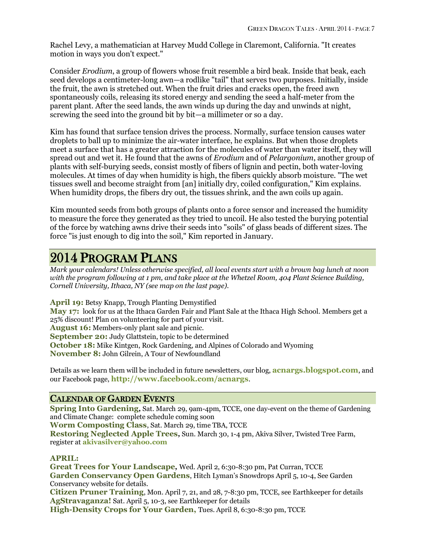Rachel Levy, a mathematician at Harvey Mudd College in Claremont, California. "It creates motion in ways you don't expect."

Consider *Erodium*, a group of flowers whose fruit resemble a bird beak. Inside that beak, each seed develops a centimeter-long awn—a rodlike "tail" that serves two purposes. Initially, inside the fruit, the awn is stretched out. When the fruit dries and cracks open, the freed awn spontaneously coils, releasing its stored energy and sending the seed a half-meter from the parent plant. After the seed lands, the awn winds up during the day and unwinds at night, screwing the seed into the ground bit by bit—a millimeter or so a day.

Kim has found that surface tension drives the process. Normally, surface tension causes water droplets to ball up to minimize the air-water interface, he explains. But when those droplets meet a surface that has a greater attraction for the molecules of water than water itself, they will spread out and wet it. He found that the awns of *Erodium* and of *Pelargonium*, another group of plants with self-burying seeds, consist mostly of fibers of lignin and pectin, both water-loving molecules. At times of day when humidity is high, the fibers quickly absorb moisture. "The wet tissues swell and become straight from [an] initially dry, coiled configuration," Kim explains. When humidity drops, the fibers dry out, the tissues shrink, and the awn coils up again.

Kim mounted seeds from both groups of plants onto a force sensor and increased the humidity to measure the force they generated as they tried to uncoil. He also tested the burying potential of the force by watching awns drive their seeds into "soils" of glass beads of different sizes. The force "is just enough to dig into the soil," Kim reported in January.

# 2014 PROGRAM PLANS

*Mark your calendars! Unless otherwise specified, all local events start with a brown bag lunch at noon with the program following at 1 pm, and take place at the Whetzel Room, 404 Plant Science Building, Cornell University, Ithaca, NY (see map on the last page).*

**April 19:** Betsy Knapp, Trough Planting Demystified **May 17:** look for us at the Ithaca Garden Fair and Plant Sale at the Ithaca High School. Members get a 25% discount! Plan on volunteering for part of your visit. **August 16:** Members-only plant sale and picnic. **September 20:** Judy Glattstein, topic to be determined **October 18:** Mike Kintgen, Rock Gardening, and Alpines of Colorado and Wyoming **November 8:** John Gilrein, A Tour of Newfoundland

Details as we learn them will be included in future newsletters, our blog, **[acnargs.blogspot.com](http://acnargs.blogspot.com/)**, and our Facebook page, **[http://www.facebook.com/acnargs](http://acnargs.blogspot.com/)**.

## CALENDAR OF GARDEN EVENTS

**Spring Into Gardening***,* Sat. March 29, 9am-4pm, TCCE, one day-event on the theme of Gardening and Climate Change: complete schedule coming soon

**Worm Composting Class**, Sat. March 29, time TBA, TCCE

**Restoring Neglected Apple Trees***,* Sun. March 30, 1-4 pm, Akiva Silver, Twisted Tree Farm, register at **[akivasilver@yahoo.com](mailto:akivasilver@yahoo.com)**

## **APRIL:**

**Great Trees for Your Landscape***,* Wed. April 2, 6:30-8:30 pm, Pat Curran, TCCE **Garden Conservancy Open Gardens**, Hitch Lyman's Snowdrops April 5, 10-4, See Garden Conservancy website for details.

**Citizen Pruner Training**, Mon. April 7, 21, and 28, 7-8:30 pm, TCCE, see Earthkeeper for details **AgStravaganza!** Sat. April 5, 10-3, see Earthkeeper for details

**High-Density Crops for Your Garden,** Tues. April 8, 6:30-8:30 pm, TCCE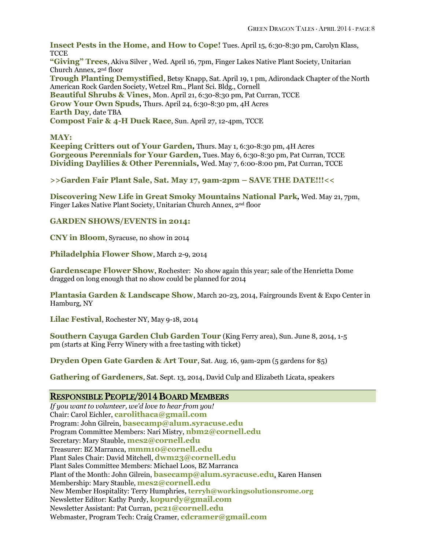**Insect Pests in the Home, and How to Cope!** Tues. April 15, 6:30-8:30 pm, Carolyn Klass, **TCCE "Giving" Trees**, Akiva Silver , Wed. April 16, 7pm, Finger Lakes Native Plant Society, Unitarian Church Annex, 2nd floor **Trough Planting Demystified**, Betsy Knapp, Sat. April 19, 1 pm, Adirondack Chapter of the North American Rock Garden Society, Wetzel Rm., Plant Sci. Bldg., Cornell **Beautiful Shrubs & Vines,** Mon. April 21, 6:30-8:30 pm, Pat Curran, TCCE **Grow Your Own Spuds***,* Thurs. April 24, 6:30-8:30 pm, 4H Acres **Earth Day**, date TBA **Compost Fair & 4-H Duck Race**, Sun. April 27, 12-4pm, TCCE

**MAY:**

**Keeping Critters out of Your Garden***,* Thurs. May 1, 6:30-8:30 pm, 4H Acres **Gorgeous Perennials for Your Garden***,* Tues. May 6, 6:30-8:30 pm, Pat Curran, TCCE **Dividing Daylilies & Other Perennials***,* Wed. May 7, 6:00-8:00 pm, Pat Curran, TCCE

**>>Garden Fair Plant Sale, Sat. May 17, 9am-2pm – SAVE THE DATE!!!<<**

**Discovering New Life in Great Smoky Mountains National Park***,* Wed. May 21, 7pm, Finger Lakes Native Plant Society, Unitarian Church Annex, 2nd floor

**GARDEN SHOWS/EVENTS in 2014:**

**CNY in Bloom**, Syracuse, no show in 2014

**Philadelphia Flower Show**, March 2-9, 2014

**Gardenscape Flower Show**, Rochester: No show again this year; sale of the Henrietta Dome dragged on long enough that no show could be planned for 2014

**Plantasia Garden & Landscape Show**, March 20-23, 2014, Fairgrounds Event & Expo Center in Hamburg, NY

**Lilac Festival**, Rochester NY, May 9-18, 2014

**Southern Cayuga Garden Club Garden Tour** (King Ferry area), Sun. June 8, 2014, 1-5 pm (starts at King Ferry Winery with a free tasting with ticket)

**Dryden Open Gate Garden & Art Tour**, Sat. Aug. 16, 9am-2pm (5 gardens for \$5)

**Gathering of Gardeners**, Sat. Sept. 13, 2014, David Culp and Elizabeth Licata, speakers

#### RESPONSIBLE PEOPLE/2014 BOARD MEMBERS

*If you want to volunteer, we'd love to hear from you!* Chair: Carol Eichler, **[carolithaca@gmail.com](mailto:carolithaca@gmail.com)** Program: John Gilrein, **[basecamp@alum.syracuse.edu](mailto:basecamp@alum.syracuse.edu)** Program Committee Members: Nari Mistry, **[nbm2@cornell.edu](mailto:nbm2@cornell.edu)** Secretary: Mary Stauble, **[mes2@cornell.edu](mailto:mes2@cornell.edu)** Treasurer: BZ Marranca, **[mmm10@cornell.edu](mailto:mmm10@cornell.edu)** Plant Sales Chair: David Mitchell, **[dwm23@cornell.edu](mailto:dwm23@cornell.edu)** Plant Sales Committee Members: Michael Loos, BZ Marranca Plant of the Month: John Gilrein, **[basecamp@alum.syracuse.edu](mailto:basecamp@alum.syracuse.edu)**, Karen Hansen Membership: Mary Stauble, **[mes2@cornell.edu](mailto:mes2@cornell.edu)** New Member Hospitality: Terry Humphries, **terryh@workingsolutionsrome.org** Newsletter Editor: Kathy Purdy, **[kopurdy@gmail.com](mailto:kathy@coldclimategardening.com)** Newsletter Assistant: Pat Curran, **[pc21@cornell.edu](mailto:pc21@cornell.edu)** Webmaster, Program Tech: Craig Cramer, **[cdcramer@gmail.com](mailto:cdcramer@gmail.com)**